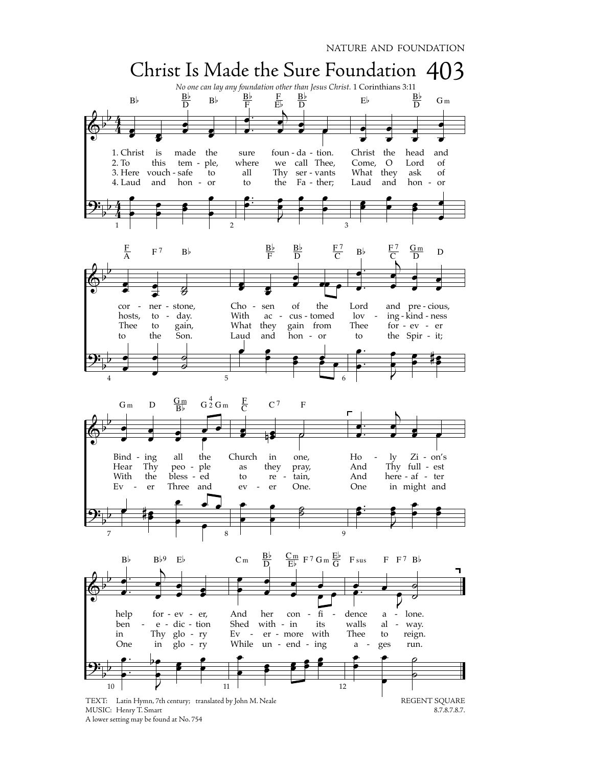NATURE AND FOUNDATION



TEXT: Latin Hymn, 7th century; translated by John M. Neale MUSIC: Henry T. Smart A lower setting may be found at No. 754

REGENT SQUARE 8.7.8.7.8.7.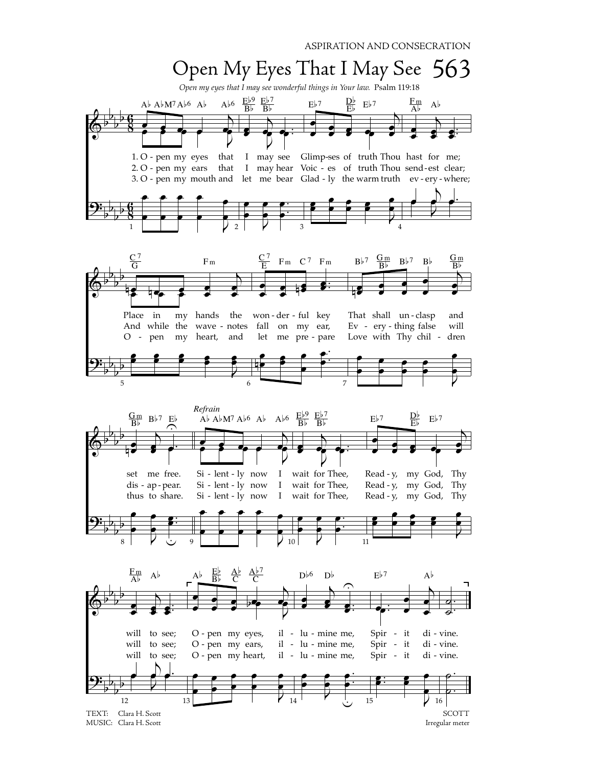ASPIRATION AND CONSECRATION

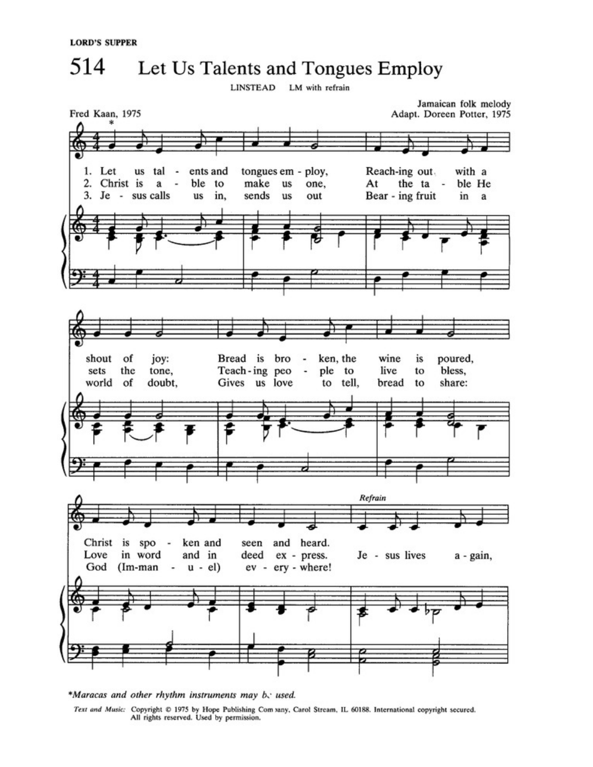



<sup>\*</sup>Maracas and other rhythm instruments may b. used.

Text and Music: Copyright © 1975 by Hope Publishing Com vany, Carol Stream, IL 60188. International copyright secured.<br>All rights reserved. Used by permission.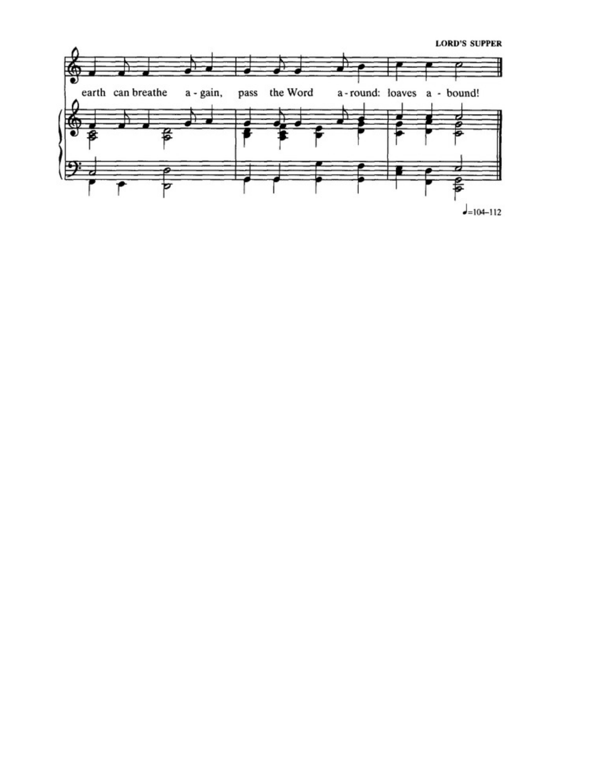**LORD'S SUPPER**